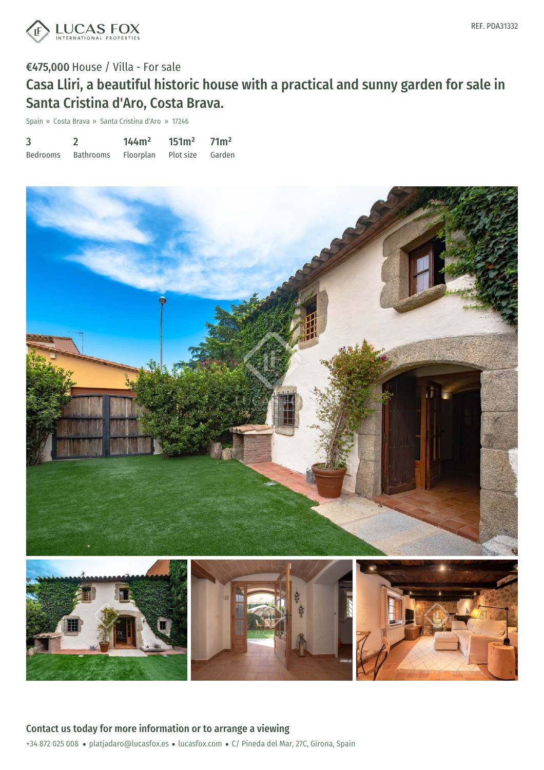

## €475,000 House / Villa - For sale Casa Lliri, a beautiful historic house with a practical and sunny garden for sale in Santa Cristina d'Aro, Costa Brava.

Spain » Costa Brava » Santa Cristina d'Aro » 17246

| 3               |                  | 144m <sup>2</sup> | 151m <sup>2</sup> | 71 <sup>m²</sup> |
|-----------------|------------------|-------------------|-------------------|------------------|
| <b>Bedrooms</b> | <b>Bathrooms</b> | Floorplan         | Plot size         | Garden           |

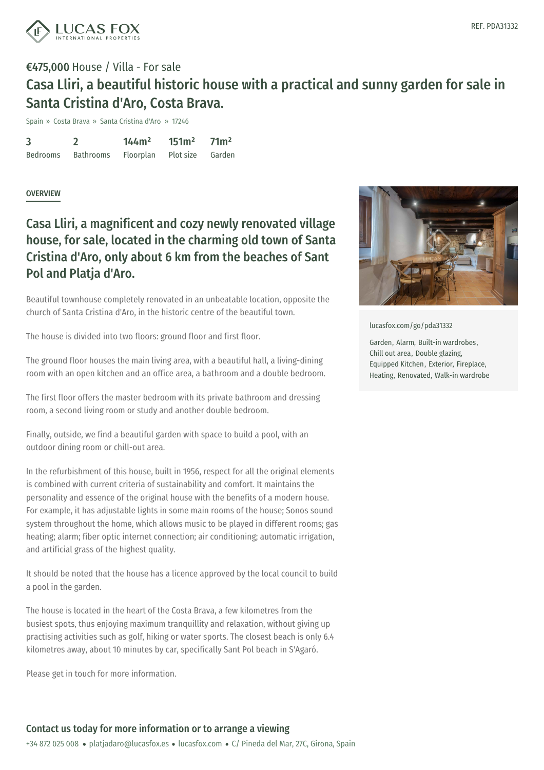![](_page_1_Picture_0.jpeg)

# €475,000 House / Villa - For sale Casa Lliri, a beautiful historic house with a practical and sunny garden for sale in Santa Cristina d'Aro, Costa Brava.

Spain » Costa Brava » Santa Cristina d'Aro » 17246

3 Bedrooms  $\mathfrak{D}$ Bathrooms 144m² Floorplan 151m² Plot size 71m² Garden

#### **OVERVIEW**

## Casa Lliri, a magnificent and cozy newly renovated village house, for sale, located in the charming old town of Santa Cristina d'Aro, only about 6 km from the beaches of Sant Pol and Platja d'Aro.

Beautiful townhouse completely renovated in an unbeatable location, opposite the church of Santa Cristina d'Aro, in the historic centre of the beautiful town.

The house is divided into two floors: ground floor and first floor.

The ground floor houses the main living area, with a beautiful hall, a living-dining room with an open kitchen and an office area, a bathroom and a double bedroom.

The first floor offers the master bedroom with its private bathroom and dressing room, a second living room or study and another double bedroom.

Finally, outside, we find a beautiful garden with space to build a pool, with an outdoor dining room or chill-out area.

In the refurbishment of this house, built in 1956, respect for all the original elements is combined with current criteria of sustainability and comfort. It maintains the personality and essence of the original house with the benefits of a modern house. For example, it has adjustable lights in some main rooms of the house; Sonos sound system throughout the home, which allows music to be played in different rooms; gas heating; alarm; fiber optic internet connection; air conditioning; automatic irrigation, and artificial grass of the [highest](mailto:platjadaro@lucasfox.es) quality.

It should be noted that the house has a licence approved by the local council to build a pool in the garden.

The house is located in the heart of the Costa Brava, a few kilometres from the busiest spots, thus enjoying maximum tranquillity and relaxation, without giving up practising activities such as golf, hiking or water sports. The closest beach is only 6.4 kilometres away, about 10 minutes by car, specifically Sant Pol beach in S'Agaró.

Please get in touch for more information.

![](_page_1_Picture_15.jpeg)

[lucasfox.com/go/pda31332](https://www.lucasfox.com/go/pda31332)

Garden, Alarm, Built-in wardrobes, Chill out area, Double glazing, Equipped Kitchen, Exterior, Fireplace, Heating, Renovated, Walk-in wardrobe

### Contact us today for more information or to arrange a viewing

+34 872 025 008 · platjadaro@lucasfox.es · lucasfox.com · C/ Pineda del Mar, 27C, Girona, Spain